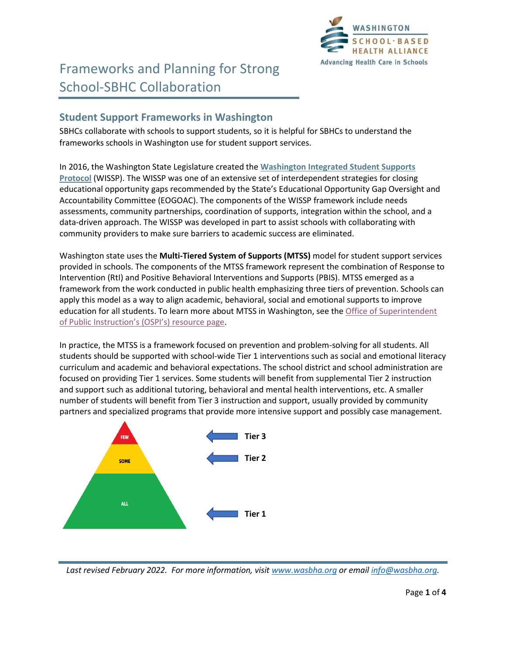

### **Student Support Frameworks in Washington**

SBHCs collaborate with schools to support students, so it is helpful for SBHCs to understand the frameworks schools in Washington use for student support services.

In 2016, the Washington State Legislature created the **[Washington Integrated Student Supports](https://www.k12.wa.us/student-success/support-programs/multi-tiered-system-supports-mtss/washington-integrated-student-supports-protocol-wissp)  [Protocol](https://www.k12.wa.us/student-success/support-programs/multi-tiered-system-supports-mtss/washington-integrated-student-supports-protocol-wissp)** (WISSP). The WISSP was one of an extensive set of interdependent strategies for closing educational opportunity gaps recommended by the State's Educational Opportunity Gap Oversight and Accountability Committee (EOGOAC). The components of the WISSP framework include needs assessments, community partnerships, coordination of supports, integration within the school, and a data-driven approach. The WISSP was developed in part to assist schools with collaborating with community providers to make sure barriers to academic success are eliminated.

Washington state uses the **Multi-Tiered System of Supports (MTSS)** model for student support services provided in schools. The components of the MTSS framework represent the combination of Response to Intervention (RtI) and Positive Behavioral Interventions and Supports (PBIS). MTSS emerged as a framework from the work conducted in public health emphasizing three tiers of prevention. Schools can apply this model as a way to align academic, behavioral, social and emotional supports to improve education for all students. To learn more about MTSS in Washington, see the Office of Superintendent [of Public Instruction](https://www.k12.wa.us/student-success/support-programs/multi-tiered-system-supports-mtss)'s (OSPI's) resource page.

In practice, the MTSS is a framework focused on prevention and problem-solving for all students. All students should be supported with school-wide Tier 1 interventions such as social and emotional literacy curriculum and academic and behavioral expectations. The school district and school administration are focused on providing Tier 1 services. Some students will benefit from supplemental Tier 2 instruction and support such as additional tutoring, behavioral and mental health interventions, etc. A smaller number of students will benefit from Tier 3 instruction and support, usually provided by community partners and specialized programs that provide more intensive support and possibly case management.



*Last revised February 2022. For more information, visi[t www.wasbha.org](http://www.wasbha.org/) or email [info@wasbha.org.](mailto:info@wasbha.org)*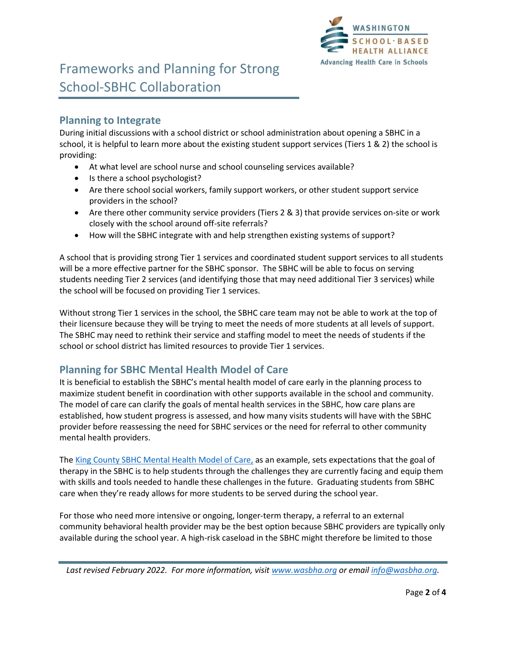

#### **Planning to Integrate**

During initial discussions with a school district or school administration about opening a SBHC in a school, it is helpful to learn more about the existing student support services (Tiers 1 & 2) the school is providing:

- At what level are school nurse and school counseling services available?
- Is there a school psychologist?
- Are there school social workers, family support workers, or other student support service providers in the school?
- Are there other community service providers (Tiers 2 & 3) that provide services on-site or work closely with the school around off-site referrals?
- How will the SBHC integrate with and help strengthen existing systems of support?

A school that is providing strong Tier 1 services and coordinated student support services to all students will be a more effective partner for the SBHC sponsor. The SBHC will be able to focus on serving students needing Tier 2 services (and identifying those that may need additional Tier 3 services) while the school will be focused on providing Tier 1 services.

Without strong Tier 1 services in the school, the SBHC care team may not be able to work at the top of their licensure because they will be trying to meet the needs of more students at all levels of support. The SBHC may need to rethink their service and staffing model to meet the needs of students if the school or school district has limited resources to provide Tier 1 services.

### **Planning for SBHC Mental Health Model of Care**

It is beneficial to establish the SBHC's mental health model of care early in the planning process to maximize student benefit in coordination with other supports available in the school and community. The model of care can clarify the goals of mental health services in the SBHC, how care plans are established, how student progress is assessed, and how many visits students will have with the SBHC provider before reassessing the need for SBHC services or the need for referral to other community mental health providers.

The [King County SBHC Mental Health Model of Care,](https://wasbha.org/wp-content/uploads/2020/11/KC-SBHC-model-of-care-frameworkupdatedSep2019.pdf) as an example, sets expectations that the goal of therapy in the SBHC is to help students through the challenges they are currently facing and equip them with skills and tools needed to handle these challenges in the future. Graduating students from SBHC care when they're ready allows for more students to be served during the school year.

For those who need more intensive or ongoing, longer-term therapy, a referral to an external community behavioral health provider may be the best option because SBHC providers are typically only available during the school year. A high-risk caseload in the SBHC might therefore be limited to those

*Last revised February 2022. For more information, visi[t www.wasbha.org](http://www.wasbha.org/) or email [info@wasbha.org.](mailto:info@wasbha.org)*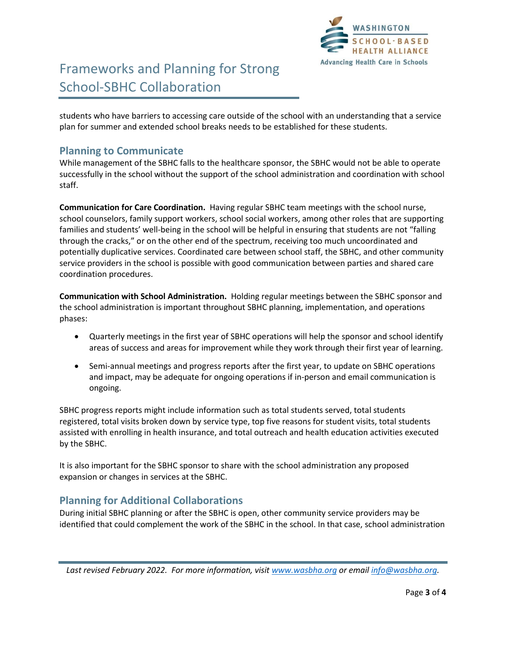

students who have barriers to accessing care outside of the school with an understanding that a service plan for summer and extended school breaks needs to be established for these students.

### **Planning to Communicate**

While management of the SBHC falls to the healthcare sponsor, the SBHC would not be able to operate successfully in the school without the support of the school administration and coordination with school staff.

**Communication for Care Coordination.** Having regular SBHC team meetings with the school nurse, school counselors, family support workers, school social workers, among other roles that are supporting families and students' well-being in the school will be helpful in ensuring that students are not "falling through the cracks," or on the other end of the spectrum, receiving too much uncoordinated and potentially duplicative services. Coordinated care between school staff, the SBHC, and other community service providers in the school is possible with good communication between parties and shared care coordination procedures.

**Communication with School Administration.** Holding regular meetings between the SBHC sponsor and the school administration is important throughout SBHC planning, implementation, and operations phases:

- Quarterly meetings in the first year of SBHC operations will help the sponsor and school identify areas of success and areas for improvement while they work through their first year of learning.
- Semi-annual meetings and progress reports after the first year, to update on SBHC operations and impact, may be adequate for ongoing operations if in-person and email communication is ongoing.

SBHC progress reports might include information such as total students served, total students registered, total visits broken down by service type, top five reasons for student visits, total students assisted with enrolling in health insurance, and total outreach and health education activities executed by the SBHC.

It is also important for the SBHC sponsor to share with the school administration any proposed expansion or changes in services at the SBHC.

### **Planning for Additional Collaborations**

During initial SBHC planning or after the SBHC is open, other community service providers may be identified that could complement the work of the SBHC in the school. In that case, school administration